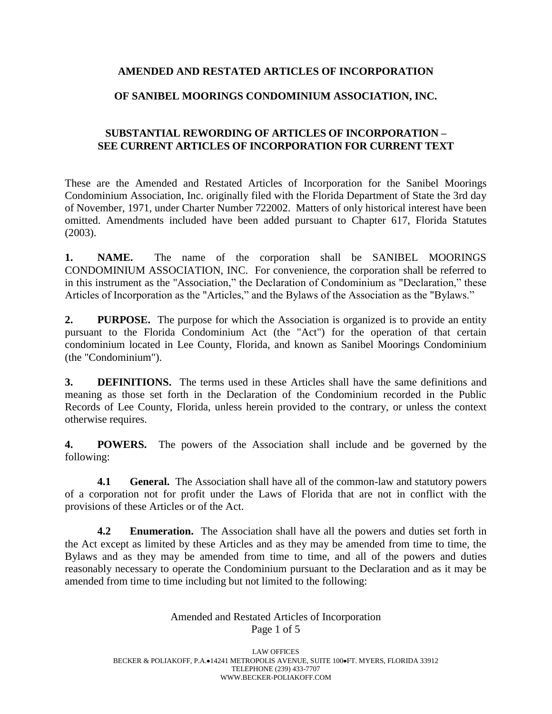## **AMENDED AND RESTATED ARTICLES OF INCORPORATION**

## **OF SANIBEL MOORINGS CONDOMINIUM ASSOCIATION, INC.**

## **SUBSTANTIAL REWORDING OF ARTICLES OF INCORPORATION – SEE CURRENT ARTICLES OF INCORPORATION FOR CURRENT TEXT**

These are the Amended and Restated Articles of Incorporation for the Sanibel Moorings Condominium Association, Inc. originally filed with the Florida Department of State the 3rd day of November, 1971, under Charter Number 722002. Matters of only historical interest have been omitted. Amendments included have been added pursuant to Chapter 617, Florida Statutes (2003).

**1. NAME.** The name of the corporation shall be SANIBEL MOORINGS CONDOMINIUM ASSOCIATION, INC. For convenience, the corporation shall be referred to in this instrument as the "Association," the Declaration of Condominium as "Declaration," these Articles of Incorporation as the "Articles," and the Bylaws of the Association as the "Bylaws."

**2. PURPOSE.** The purpose for which the Association is organized is to provide an entity pursuant to the Florida Condominium Act (the "Act") for the operation of that certain condominium located in Lee County, Florida, and known as Sanibel Moorings Condominium (the "Condominium").

**3. DEFINITIONS.** The terms used in these Articles shall have the same definitions and meaning as those set forth in the Declaration of the Condominium recorded in the Public Records of Lee County, Florida, unless herein provided to the contrary, or unless the context otherwise requires.

**4. POWERS.** The powers of the Association shall include and be governed by the following:

**4.1 •• General.** The Association shall have all of the common-law and statutory powers of a corporation not for profit under the Laws of Florida that are not in conflict with the provisions of these Articles or of the Act.

**4.2 Enumeration.** The Association shall have all the powers and duties set forth in the Act except as limited by these Articles and as they may be amended from time to time, the Bylaws and as they may be amended from time to time, and all of the powers and duties reasonably necessary to operate the Condominium pursuant to the Declaration and as it may be amended from time to time including but not limited to the following:

> Amended and Restated Articles of Incorporation Page 1 of 5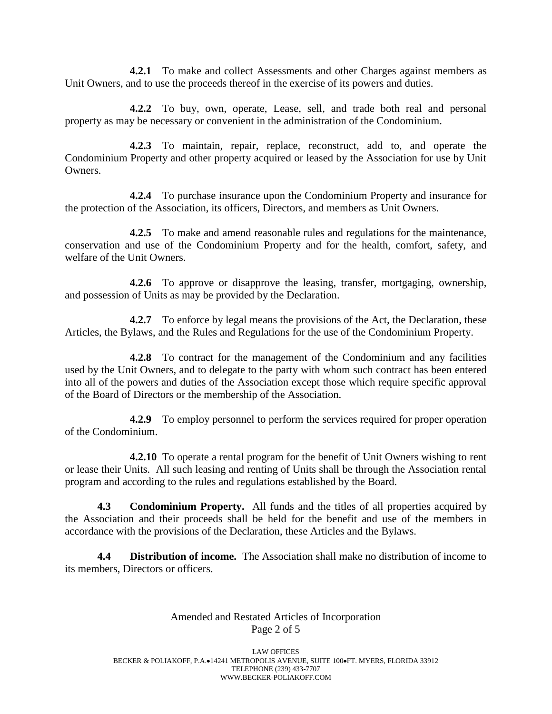**4.2.1** To make and collect Assessments and other Charges against members as Unit Owners, and to use the proceeds thereof in the exercise of its powers and duties.

**4.2.2** To buy, own, operate, Lease, sell, and trade both real and personal property as may be necessary or convenient in the administration of the Condominium.

**4.2.3** To maintain, repair, replace, reconstruct, add to, and operate the Condominium Property and other property acquired or leased by the Association for use by Unit Owners.

**4.2.4** To purchase insurance upon the Condominium Property and insurance for the protection of the Association, its officers, Directors, and members as Unit Owners.

**4.2.5** To make and amend reasonable rules and regulations for the maintenance, conservation and use of the Condominium Property and for the health, comfort, safety, and welfare of the Unit Owners.

**4.2.6** To approve or disapprove the leasing, transfer, mortgaging, ownership, and possession of Units as may be provided by the Declaration.

**4.2.7** To enforce by legal means the provisions of the Act, the Declaration, these Articles, the Bylaws, and the Rules and Regulations for the use of the Condominium Property.

**4.2.8** To contract for the management of the Condominium and any facilities used by the Unit Owners, and to delegate to the party with whom such contract has been entered into all of the powers and duties of the Association except those which require specific approval of the Board of Directors or the membership of the Association.

**4.2.9** To employ personnel to perform the services required for proper operation of the Condominium.

**4.2.10** To operate a rental program for the benefit of Unit Owners wishing to rent or lease their Units. All such leasing and renting of Units shall be through the Association rental program and according to the rules and regulations established by the Board.

**4.3 Condominium Property.** All funds and the titles of all properties acquired by the Association and their proceeds shall be held for the benefit and use of the members in accordance with the provisions of the Declaration, these Articles and the Bylaws.

**4.4 Distribution of income.** The Association shall make no distribution of income to its members, Directors or officers.

#### Amended and Restated Articles of Incorporation Page 2 of 5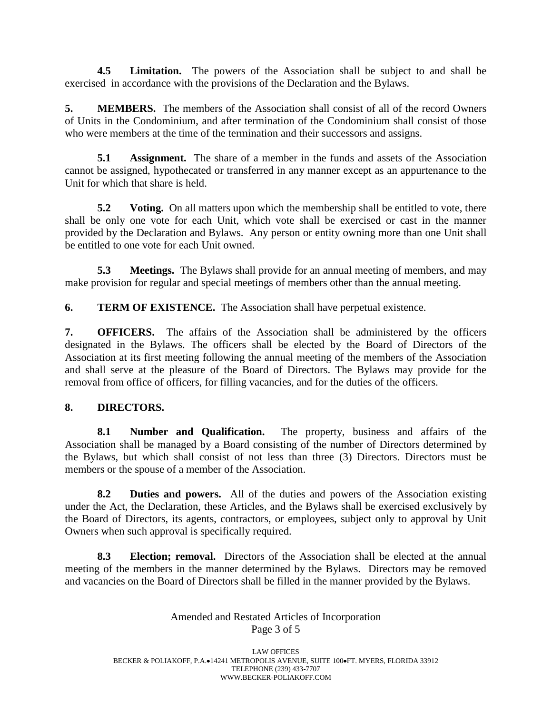**4.5 Limitation.** The powers of the Association shall be subject to and shall be exercised in accordance with the provisions of the Declaration and the Bylaws.

**5. MEMBERS.** The members of the Association shall consist of all of the record Owners of Units in the Condominium, and after termination of the Condominium shall consist of those who were members at the time of the termination and their successors and assigns.

**5.1 Assignment.** The share of a member in the funds and assets of the Association cannot be assigned, hypothecated or transferred in any manner except as an appurtenance to the Unit for which that share is held.

**5.2 Voting.** On all matters upon which the membership shall be entitled to vote, there shall be only one vote for each Unit, which vote shall be exercised or cast in the manner provided by the Declaration and Bylaws. Any person or entity owning more than one Unit shall be entitled to one vote for each Unit owned.

**5.3 Meetings.** The Bylaws shall provide for an annual meeting of members, and may make provision for regular and special meetings of members other than the annual meeting.

**6. TERM OF EXISTENCE.** The Association shall have perpetual existence.

**7. OFFICERS.** The affairs of the Association shall be administered by the officers designated in the Bylaws. The officers shall be elected by the Board of Directors of the Association at its first meeting following the annual meeting of the members of the Association and shall serve at the pleasure of the Board of Directors. The Bylaws may provide for the removal from office of officers, for filling vacancies, and for the duties of the officers.

# **8. DIRECTORS.**

**8.1 Number and Qualification.** The property, business and affairs of the Association shall be managed by a Board consisting of the number of Directors determined by the Bylaws, but which shall consist of not less than three (3) Directors. Directors must be members or the spouse of a member of the Association.

**8.2 Duties and powers.** All of the duties and powers of the Association existing under the Act, the Declaration, these Articles, and the Bylaws shall be exercised exclusively by the Board of Directors, its agents, contractors, or employees, subject only to approval by Unit Owners when such approval is specifically required.

**8.3 Election; removal.** Directors of the Association shall be elected at the annual meeting of the members in the manner determined by the Bylaws. Directors may be removed and vacancies on the Board of Directors shall be filled in the manner provided by the Bylaws.

### Amended and Restated Articles of Incorporation Page 3 of 5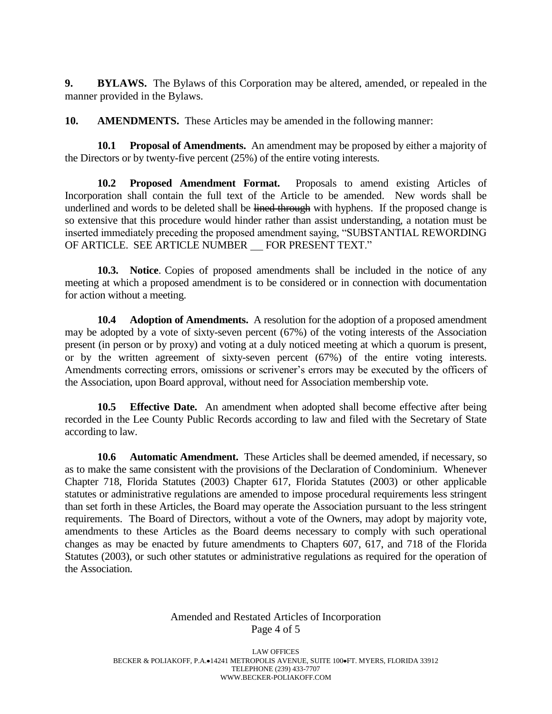**9. BYLAWS.** The Bylaws of this Corporation may be altered, amended, or repealed in the manner provided in the Bylaws.

**10. AMENDMENTS.** These Articles may be amended in the following manner:

**10.1 Proposal of Amendments.** An amendment may be proposed by either a majority of the Directors or by twenty-five percent (25%) of the entire voting interests.

**10.2 Proposed Amendment Format.** Proposals to amend existing Articles of Incorporation shall contain the full text of the Article to be amended. New words shall be underlined and words to be deleted shall be lined through with hyphens. If the proposed change is so extensive that this procedure would hinder rather than assist understanding, a notation must be inserted immediately preceding the proposed amendment saying, "SUBSTANTIAL REWORDING OF ARTICLE. SEE ARTICLE NUMBER FOR PRESENT TEXT."

**10.3. Notice**. Copies of proposed amendments shall be included in the notice of any meeting at which a proposed amendment is to be considered or in connection with documentation for action without a meeting.

**10.4 Adoption of Amendments.** A resolution for the adoption of a proposed amendment may be adopted by a vote of sixty-seven percent (67%) of the voting interests of the Association present (in person or by proxy) and voting at a duly noticed meeting at which a quorum is present, or by the written agreement of sixty-seven percent (67%) of the entire voting interests. Amendments correcting errors, omissions or scrivener's errors may be executed by the officers of the Association, upon Board approval, without need for Association membership vote.

**10.5 Effective Date.** An amendment when adopted shall become effective after being recorded in the Lee County Public Records according to law and filed with the Secretary of State according to law.

**10.6 Automatic Amendment.** These Articles shall be deemed amended, if necessary, so as to make the same consistent with the provisions of the Declaration of Condominium. Whenever Chapter 718, Florida Statutes (2003) Chapter 617, Florida Statutes (2003) or other applicable statutes or administrative regulations are amended to impose procedural requirements less stringent than set forth in these Articles, the Board may operate the Association pursuant to the less stringent requirements. The Board of Directors, without a vote of the Owners, may adopt by majority vote, amendments to these Articles as the Board deems necessary to comply with such operational changes as may be enacted by future amendments to Chapters 607, 617, and 718 of the Florida Statutes (2003), or such other statutes or administrative regulations as required for the operation of the Association.

#### Amended and Restated Articles of Incorporation Page 4 of 5